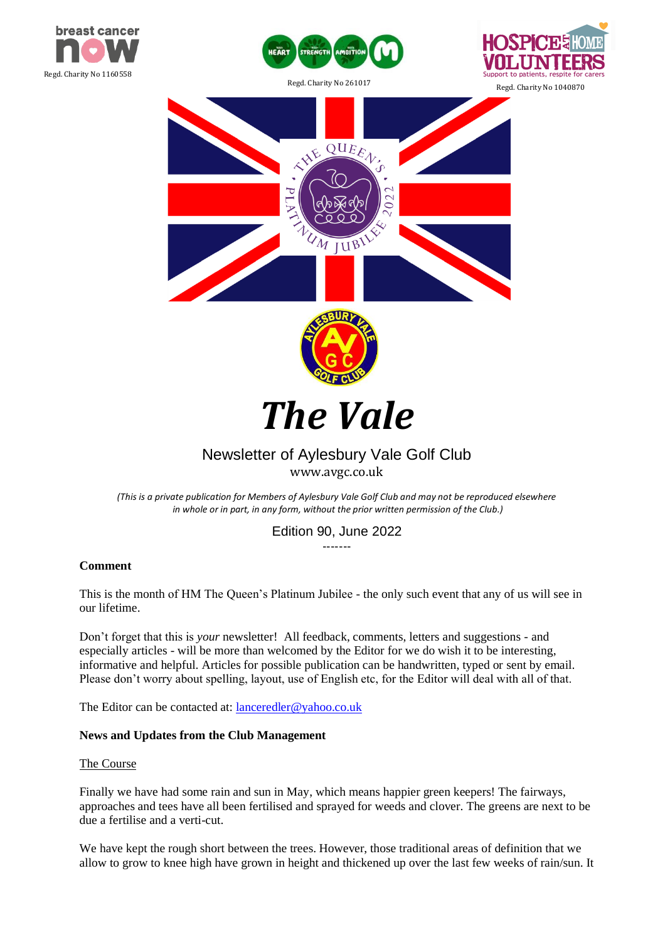











# *The Vale*

# Newsletter of Aylesbury Vale Golf Club

[www.avgc.co.uk](http://www.avgc.co.uk/)

*(This is a private publication for Members of Aylesbury Vale Golf Club and may not be reproduced elsewhere in whole or in part, in any form, without the prior written permission of the Club.)*

> Edition 90, June 2022 -------

# **Comment**

This is the month of HM The Queen's Platinum Jubilee - the only such event that any of us will see in our lifetime.

Don't forget that this is *your* newsletter! All feedback, comments, letters and suggestions - and especially articles - will be more than welcomed by the Editor for we do wish it to be interesting, informative and helpful. Articles for possible publication can be handwritten, typed or sent by email. Please don't worry about spelling, layout, use of English etc, for the Editor will deal with all of that.

The Editor can be contacted at: lanceredler@yahoo.co.uk

## **News and Updates from the Club Management**

## The Course

Finally we have had some rain and sun in May, which means happier green keepers! The fairways, approaches and tees have all been fertilised and sprayed for weeds and clover. The greens are next to be due a fertilise and a verti-cut.

We have kept the rough short between the trees. However, those traditional areas of definition that we allow to grow to knee high have grown in height and thickened up over the last few weeks of rain/sun. It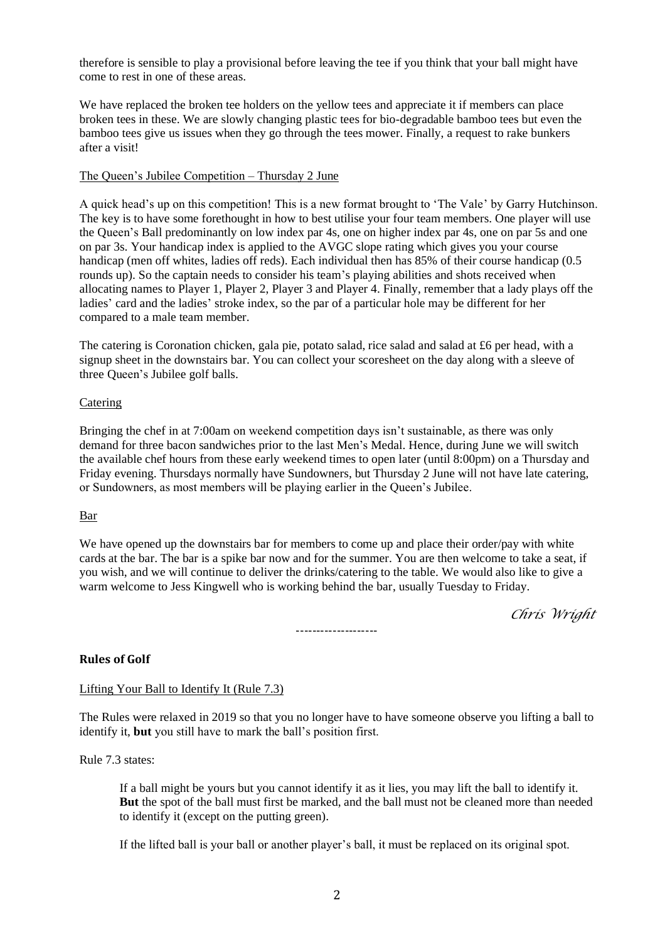therefore is sensible to play a provisional before leaving the tee if you think that your ball might have come to rest in one of these areas.

We have replaced the broken tee holders on the yellow tees and appreciate it if members can place broken tees in these. We are slowly changing plastic tees for bio-degradable bamboo tees but even the bamboo tees give us issues when they go through the tees mower. Finally, a request to rake bunkers after a visit!

## The Queen's Jubilee Competition – Thursday 2 June

A quick head's up on this competition! This is a new format brought to 'The Vale' by Garry Hutchinson. The key is to have some forethought in how to best utilise your four team members. One player will use the Queen's Ball predominantly on low index par 4s, one on higher index par 4s, one on par 5s and one on par 3s. Your handicap index is applied to the AVGC slope rating which gives you your course handicap (men off whites, ladies off reds). Each individual then has 85% of their course handicap (0.5 rounds up). So the captain needs to consider his team's playing abilities and shots received when allocating names to Player 1, Player 2, Player 3 and Player 4. Finally, remember that a lady plays off the ladies' card and the ladies' stroke index, so the par of a particular hole may be different for her compared to a male team member.

The catering is Coronation chicken, gala pie, potato salad, rice salad and salad at £6 per head, with a signup sheet in the downstairs bar. You can collect your scoresheet on the day along with a sleeve of three Queen's Jubilee golf balls.

## Catering

Bringing the chef in at 7:00am on weekend competition days isn't sustainable, as there was only demand for three bacon sandwiches prior to the last Men's Medal. Hence, during June we will switch the available chef hours from these early weekend times to open later (until 8:00pm) on a Thursday and Friday evening. Thursdays normally have Sundowners, but Thursday 2 June will not have late catering, or Sundowners, as most members will be playing earlier in the Queen's Jubilee.

## Bar

We have opened up the downstairs bar for members to come up and place their order/pay with white cards at the bar. The bar is a spike bar now and for the summer. You are then welcome to take a seat, if you wish, and we will continue to deliver the drinks/catering to the table. We would also like to give a warm welcome to Jess Kingwell who is working behind the bar, usually Tuesday to Friday.

*Chris Wright*

--------------------

# **Rules of Golf**

# Lifting Your Ball to Identify It (Rule 7.3)

The Rules were relaxed in 2019 so that you no longer have to have someone observe you lifting a ball to identify it, **but** you still have to mark the ball's position first.

Rule 7.3 states:

If a ball might be yours but you cannot identify it as it lies, you may lift the ball to identify it. **But** the spot of the ball must first be marked, and the ball must not be cleaned more than needed to identify it (except on the putting green).

If the lifted ball is your ball or another player's ball, it must be replaced on its original spot.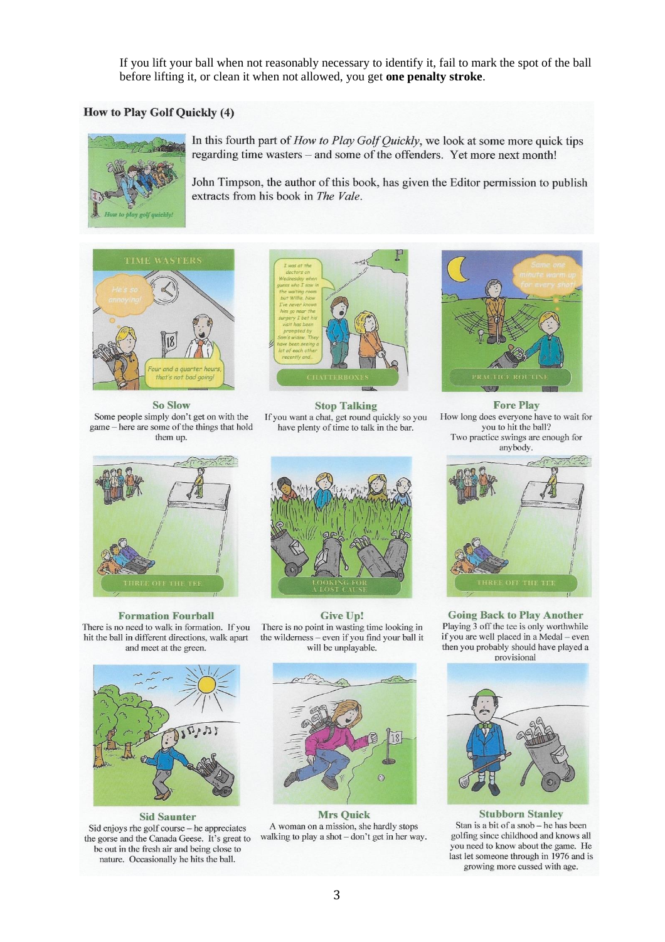If you lift your ball when not reasonably necessary to identify it, fail to mark the spot of the ball before lifting it, or clean it when not allowed, you get **one penalty stroke**.

#### How to Play Golf Quickly (4)



In this fourth part of How to Play Golf Quickly, we look at some more quick tips regarding time wasters – and some of the offenders. Yet more next month!

John Timpson, the author of this book, has given the Editor permission to publish extracts from his book in The Vale.



**So Slow** Some people simply don't get on with the game – here are some of the things that hold them up.



**Stop Talking** If you want a chat, get round quickly so you have plenty of time to talk in the bar.



**Formation Fourball** There is no need to walk in formation. If you hit the ball in different directions, walk apart and meet at the green.



**Sid Saunter** Sid enjoys rhe golf course - he appreciates the gorse and the Canada Geese. It's great to be out in the fresh air and being close to nature. Occasionally he hits the ball.



Give Up! There is no point in wasting time looking in the wilderness - even if you find your ball it will be unplayable.



**Mrs Quick** A woman on a mission, she hardly stops walking to play a shot - don't get in her way.

**Fore Play** How long does everyone have to wait for you to hit the ball? Two practice swings are enough for anybody.



**Going Back to Play Another** Playing 3 off the tee is only worthwhile if you are well placed in a Medal - even then you probably should have played a provisional



**Stubborn Stanley** Stan is a bit of a snob - he has been golfing since childhood and knows all you need to know about the game. He last let someone through in 1976 and is growing more cussed with age.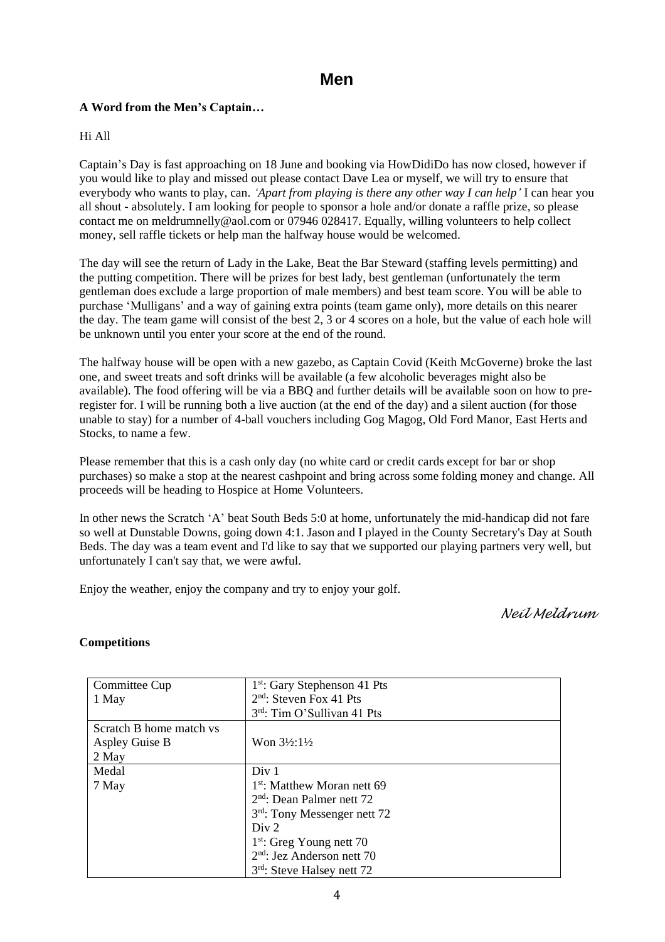# **Men**

# **A Word from the Men's Captain…**

# Hi All

Captain's Day is fast approaching on 18 June and booking via HowDidiDo has now closed, however if you would like to play and missed out please contact Dave Lea or myself, we will try to ensure that everybody who wants to play, can. *'Apart from playing is there any other way I can help'* I can hear you all shout - absolutely. I am looking for people to sponsor a hole and/or donate a raffle prize, so please contact me on meldrumnelly@aol.com or 07946 028417. Equally, willing volunteers to help collect money, sell raffle tickets or help man the halfway house would be welcomed.

The day will see the return of Lady in the Lake, Beat the Bar Steward (staffing levels permitting) and the putting competition. There will be prizes for best lady, best gentleman (unfortunately the term gentleman does exclude a large proportion of male members) and best team score. You will be able to purchase 'Mulligans' and a way of gaining extra points (team game only), more details on this nearer the day. The team game will consist of the best 2, 3 or 4 scores on a hole, but the value of each hole will be unknown until you enter your score at the end of the round.

The halfway house will be open with a new gazebo, as Captain Covid (Keith McGoverne) broke the last one, and sweet treats and soft drinks will be available (a few alcoholic beverages might also be available). The food offering will be via a BBQ and further details will be available soon on how to preregister for. I will be running both a live auction (at the end of the day) and a silent auction (for those unable to stay) for a number of 4-ball vouchers including Gog Magog, Old Ford Manor, East Herts and Stocks, to name a few.

Please remember that this is a cash only day (no white card or credit cards except for bar or shop purchases) so make a stop at the nearest cashpoint and bring across some folding money and change. All proceeds will be heading to Hospice at Home Volunteers.

In other news the Scratch 'A' beat South Beds 5:0 at home, unfortunately the mid-handicap did not fare so well at Dunstable Downs, going down 4:1. Jason and I played in the County Secretary's Day at South Beds. The day was a team event and I'd like to say that we supported our playing partners very well, but unfortunately I can't say that, we were awful.

Enjoy the weather, enjoy the company and try to enjoy your golf.

*Neil Meldrum*

# **Competitions**

| Committee Cup           | 1 <sup>st</sup> : Gary Stephenson 41 Pts |
|-------------------------|------------------------------------------|
| 1 May                   | $2nd$ : Steven Fox 41 Pts                |
|                         | 3rd: Tim O'Sullivan 41 Pts               |
| Scratch B home match vs |                                          |
| Aspley Guise B          | Won $3\frac{1}{2}$ : $1\frac{1}{2}$      |
| 2 May                   |                                          |
| Medal                   | Div 1                                    |
| 7 May                   | $1st$ : Matthew Moran nett 69            |
|                         | $2nd$ : Dean Palmer nett 72              |
|                         | 3 <sup>rd</sup> : Tony Messenger nett 72 |
|                         | Div 2                                    |
|                         | $1st$ : Greg Young nett 70               |
|                         | $2nd$ : Jez Anderson nett 70             |
|                         | 3rd: Steve Halsey nett 72                |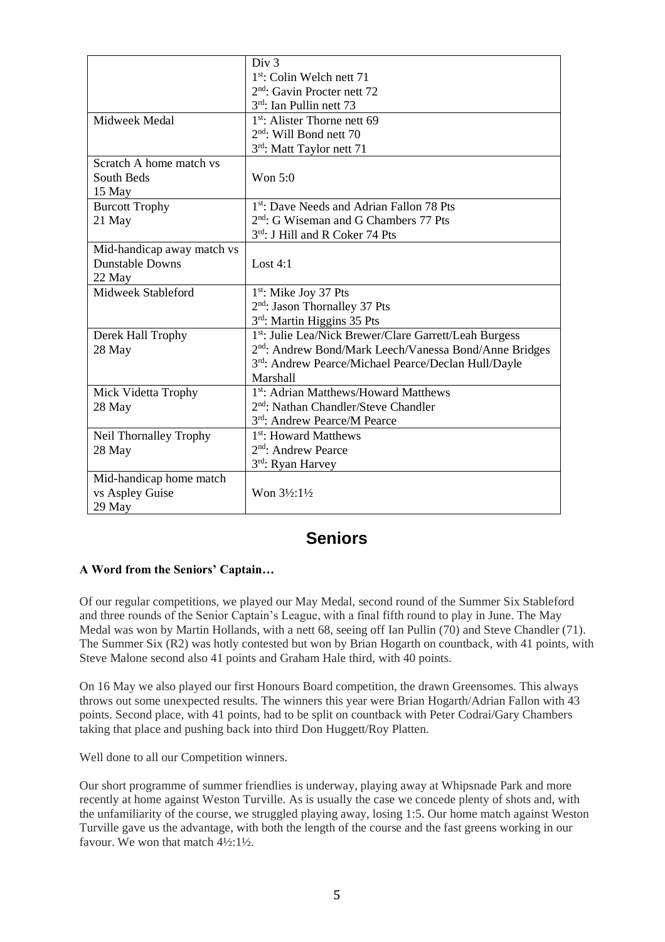|                            | Div <sub>3</sub>                                                   |  |
|----------------------------|--------------------------------------------------------------------|--|
|                            | 1 <sup>st</sup> : Colin Welch nett 71                              |  |
|                            | $2nd$ : Gavin Procter nett 72                                      |  |
|                            | $3rd$ : Ian Pullin nett 73                                         |  |
| Midweek Medal              | $1st$ : Alister Thorne nett 69                                     |  |
|                            | $2nd$ : Will Bond nett 70                                          |  |
|                            | 3rd: Matt Taylor nett 71                                           |  |
| Scratch A home match vs    |                                                                    |  |
| South Beds                 | Won $5:0$                                                          |  |
| 15 May                     |                                                                    |  |
| <b>Burcott Trophy</b>      | 1 <sup>st</sup> : Dave Needs and Adrian Fallon 78 Pts              |  |
| 21 May                     | $2nd$ : G Wiseman and G Chambers 77 Pts                            |  |
|                            | 3rd: J Hill and R Coker 74 Pts                                     |  |
| Mid-handicap away match vs |                                                                    |  |
| <b>Dunstable Downs</b>     | Lost $4:1$                                                         |  |
| 22 May                     |                                                                    |  |
| Midweek Stableford         | $1st$ : Mike Joy 37 Pts                                            |  |
|                            | 2 <sup>nd</sup> : Jason Thornalley 37 Pts                          |  |
|                            | 3rd: Martin Higgins 35 Pts                                         |  |
| Derek Hall Trophy          | 1 <sup>st</sup> : Julie Lea/Nick Brewer/Clare Garrett/Leah Burgess |  |
| 28 May                     | 2 <sup>nd</sup> : Andrew Bond/Mark Leech/Vanessa Bond/Anne Bridges |  |
|                            | 3rd: Andrew Pearce/Michael Pearce/Declan Hull/Dayle                |  |
|                            | Marshall                                                           |  |
| Mick Videtta Trophy        | 1 <sup>st</sup> : Adrian Matthews/Howard Matthews                  |  |
| 28 May                     | 2 <sup>nd</sup> : Nathan Chandler/Steve Chandler                   |  |
|                            | 3rd: Andrew Pearce/M Pearce                                        |  |
| Neil Thornalley Trophy     | 1 <sup>st</sup> : Howard Matthews                                  |  |
| 28 May                     | 2 <sup>nd</sup> : Andrew Pearce                                    |  |
|                            | 3rd: Ryan Harvey                                                   |  |
| Mid-handicap home match    |                                                                    |  |
| vs Aspley Guise            | Won $3\frac{1}{2}$ : $1\frac{1}{2}$                                |  |
| 29 May                     |                                                                    |  |

# **Seniors**

# **A Word from the Seniors' Captain…**

Of our regular competitions, we played our May Medal, second round of the Summer Six Stableford and three rounds of the Senior Captain's League, with a final fifth round to play in June. The May Medal was won by Martin Hollands, with a nett 68, seeing off Ian Pullin (70) and Steve Chandler (71). The Summer Six (R2) was hotly contested but won by Brian Hogarth on countback, with 41 points, with Steve Malone second also 41 points and Graham Hale third, with 40 points.

On 16 May we also played our first Honours Board competition, the drawn Greensomes. This always throws out some unexpected results. The winners this year were Brian Hogarth/Adrian Fallon with 43 points. Second place, with 41 points, had to be split on countback with Peter Codrai/Gary Chambers taking that place and pushing back into third Don Huggett/Roy Platten.

Well done to all our Competition winners.

Our short programme of summer friendlies is underway, playing away at Whipsnade Park and more recently at home against Weston Turville. As is usually the case we concede plenty of shots and, with the unfamiliarity of the course, we struggled playing away, losing 1:5. Our home match against Weston Turville gave us the advantage, with both the length of the course and the fast greens working in our favour. We won that match  $4\frac{1}{3}$ :  $1\frac{1}{2}$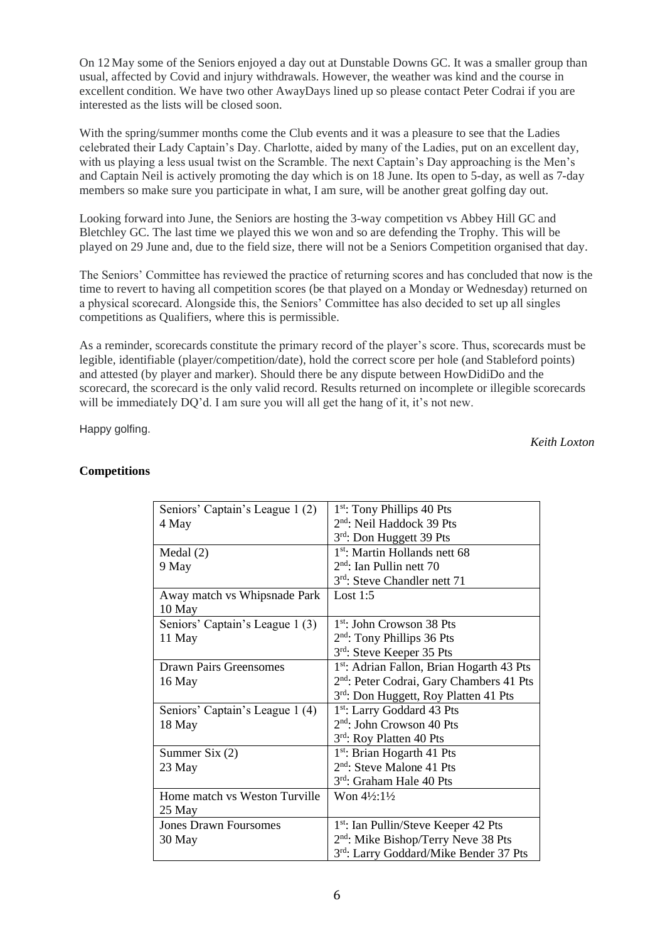On 12 May some of the Seniors enjoyed a day out at Dunstable Downs GC. It was a smaller group than usual, affected by Covid and injury withdrawals. However, the weather was kind and the course in excellent condition. We have two other AwayDays lined up so please contact Peter Codrai if you are interested as the lists will be closed soon.

With the spring/summer months come the Club events and it was a pleasure to see that the Ladies celebrated their Lady Captain's Day. Charlotte, aided by many of the Ladies, put on an excellent day, with us playing a less usual twist on the Scramble. The next Captain's Day approaching is the Men's and Captain Neil is actively promoting the day which is on 18 June. Its open to 5-day, as well as 7-day members so make sure you participate in what, I am sure, will be another great golfing day out.

Looking forward into June, the Seniors are hosting the 3-way competition vs Abbey Hill GC and Bletchley GC. The last time we played this we won and so are defending the Trophy. This will be played on 29 June and, due to the field size, there will not be a Seniors Competition organised that day.

The Seniors' Committee has reviewed the practice of returning scores and has concluded that now is the time to revert to having all competition scores (be that played on a Monday or Wednesday) returned on a physical scorecard. Alongside this, the Seniors' Committee has also decided to set up all singles competitions as Qualifiers, where this is permissible.

As a reminder, scorecards constitute the primary record of the player's score. Thus, scorecards must be legible, identifiable (player/competition/date), hold the correct score per hole (and Stableford points) and attested (by player and marker). Should there be any dispute between HowDidiDo and the scorecard, the scorecard is the only valid record. Results returned on incomplete or illegible scorecards will be immediately DQ'd. I am sure you will all get the hang of it, it's not new.

Happy golfing.

*Keith Loxton*

| Seniors' Captain's League 1(2)  | 1 <sup>st</sup> : Tony Phillips 40 Pts               |
|---------------------------------|------------------------------------------------------|
| 4 May                           | 2 <sup>nd</sup> : Neil Haddock 39 Pts                |
|                                 | 3rd: Don Huggett 39 Pts                              |
| Medal(2)                        | 1 <sup>st</sup> : Martin Hollands nett 68            |
| 9 May                           | $2nd$ : Ian Pullin nett 70                           |
|                                 | 3rd: Steve Chandler nett 71                          |
| Away match vs Whipsnade Park    | Lost $1:5$                                           |
| 10 May                          |                                                      |
| Seniors' Captain's League 1 (3) | 1 <sup>st</sup> : John Crowson 38 Pts                |
| 11 May                          | $2nd$ : Tony Phillips 36 Pts                         |
|                                 | 3rd: Steve Keeper 35 Pts                             |
| <b>Drawn Pairs Greensomes</b>   | 1st: Adrian Fallon, Brian Hogarth 43 Pts             |
| 16 May                          | 2 <sup>nd</sup> : Peter Codrai, Gary Chambers 41 Pts |
|                                 | 3rd: Don Huggett, Roy Platten 41 Pts                 |
| Seniors' Captain's League 1 (4) | 1 <sup>st</sup> : Larry Goddard 43 Pts               |
| 18 May                          | $2nd$ : John Crowson 40 Pts                          |
|                                 | 3rd: Roy Platten 40 Pts                              |
| Summer Six $(2)$                | $1st$ : Brian Hogarth 41 Pts                         |
| 23 May                          | $2nd$ : Steve Malone 41 Pts                          |
|                                 | 3 <sup>rd</sup> : Graham Hale 40 Pts                 |
| Home match vs Weston Turville   | Won 41/2:11/2                                        |
| 25 May                          |                                                      |
| <b>Jones Drawn Foursomes</b>    | 1 <sup>st</sup> : Ian Pullin/Steve Keeper 42 Pts     |
| 30 May                          | 2 <sup>nd</sup> : Mike Bishop/Terry Neve 38 Pts      |
|                                 | 3rd: Larry Goddard/Mike Bender 37 Pts                |

# **Competitions**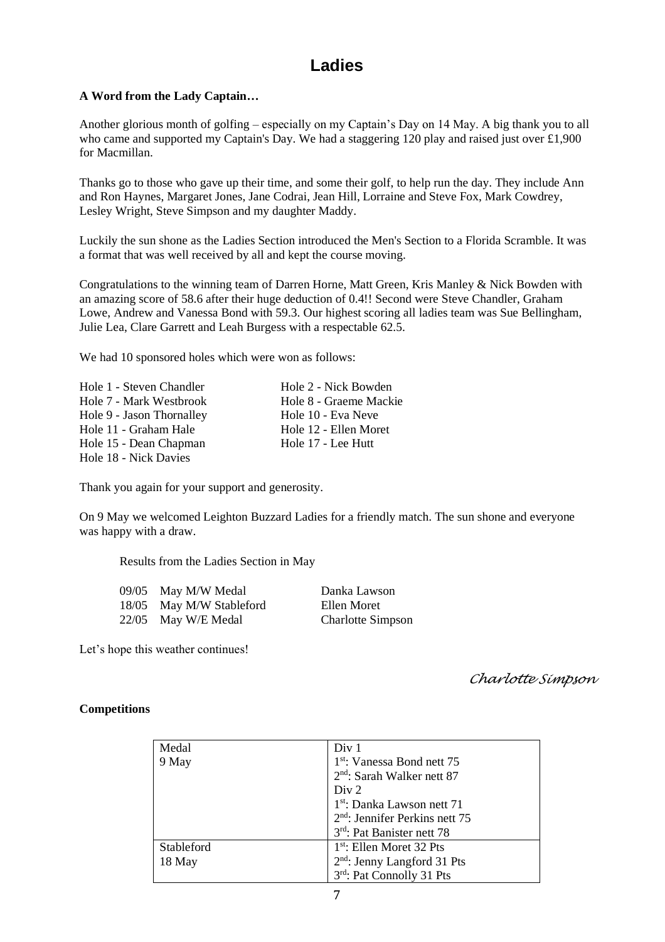# **Ladies**

# **A Word from the Lady Captain…**

Another glorious month of golfing – especially on my Captain's Day on 14 May. A big thank you to all who came and supported my Captain's Day. We had a staggering 120 play and raised just over £1,900 for Macmillan.

Thanks go to those who gave up their time, and some their golf, to help run the day. They include Ann and Ron Haynes, Margaret Jones, Jane Codrai, Jean Hill, Lorraine and Steve Fox, Mark Cowdrey, Lesley Wright, Steve Simpson and my daughter Maddy.

Luckily the sun shone as the Ladies Section introduced the Men's Section to a Florida Scramble. It was a format that was well received by all and kept the course moving.

Congratulations to the winning team of Darren Horne, Matt Green, Kris Manley & Nick Bowden with an amazing score of 58.6 after their huge deduction of 0.4!! Second were Steve Chandler, Graham Lowe, Andrew and Vanessa Bond with 59.3. Our highest scoring all ladies team was Sue Bellingham, Julie Lea, Clare Garrett and Leah Burgess with a respectable 62.5.

We had 10 sponsored holes which were won as follows:

Hole 1 - Steven Chandler Hole 2 - Nick Bowden Hole 7 - Mark Westbrook Hole 8 - Graeme Mackie Hole 9 - Jason Thornalley Hole 10 - Eva Neve Hole 11 - Graham Hale Hole 12 - Ellen Moret Hole 15 - Dean Chapman Hole 17 - Lee Hutt Hole 18 - Nick Davies

Thank you again for your support and generosity.

On 9 May we welcomed Leighton Buzzard Ladies for a friendly match. The sun shone and everyone was happy with a draw.

Results from the Ladies Section in May

| 09/05 | May M/W Medal            | Danka Lawson             |
|-------|--------------------------|--------------------------|
|       | 18/05 May M/W Stableford | Ellen Moret              |
|       | 22/05 May W/E Medal      | <b>Charlotte Simpson</b> |

Let's hope this weather continues!

*Charlotte Simpson*

## **Competitions**

| Medal      | Div <sub>1</sub>                       |
|------------|----------------------------------------|
| 9 May      | 1 <sup>st</sup> : Vanessa Bond nett 75 |
|            | $2nd$ : Sarah Walker nett 87           |
|            | Div 2                                  |
|            | 1 <sup>st</sup> : Danka Lawson nett 71 |
|            | $2nd$ : Jennifer Perkins nett 75       |
|            | 3rd: Pat Banister nett 78              |
| Stableford | $1st$ : Ellen Moret 32 Pts             |
| 18 May     | $2nd$ : Jenny Langford 31 Pts          |
|            | 3rd: Pat Connolly 31 Pts               |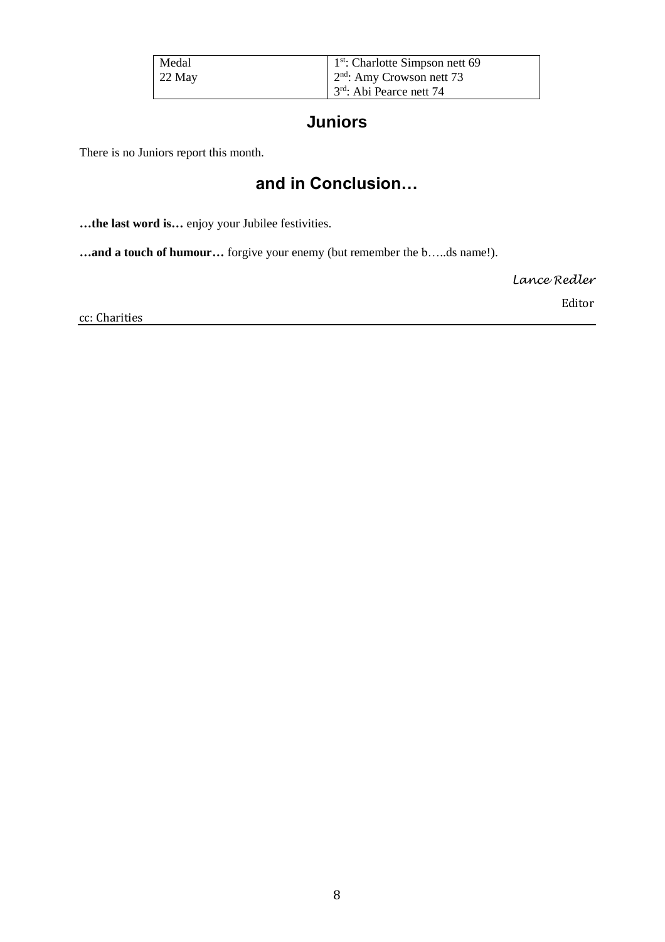| Medal    | $\vert$ 1 <sup>st</sup> : Charlotte Simpson nett 69 |
|----------|-----------------------------------------------------|
| $22$ May | $\vert$ 2 <sup>nd</sup> : Amy Crowson nett 73       |
|          | $3rd$ : Abi Pearce nett 74                          |

# **Juniors**

There is no Juniors report this month.

# **and in Conclusion…**

**…the last word is…** enjoy your Jubilee festivities.

**…and a touch of humour…** forgive your enemy (but remember the b…..ds name!).

*Lance Redler*

cc: Charities

Editor